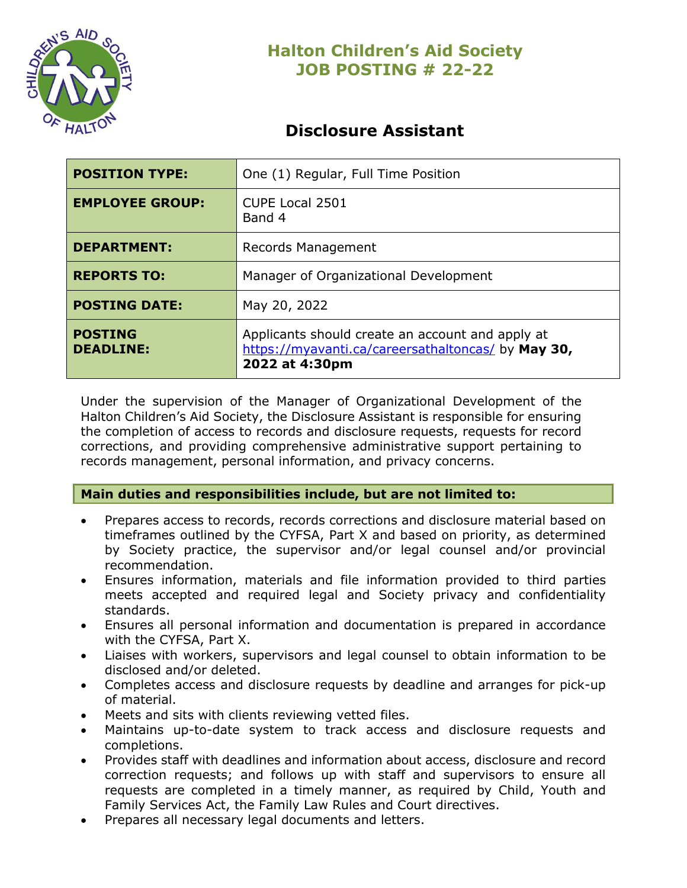

## **Disclosure Assistant**

| <b>POSITION TYPE:</b>              | One (1) Regular, Full Time Position                                                                                      |
|------------------------------------|--------------------------------------------------------------------------------------------------------------------------|
| <b>EMPLOYEE GROUP:</b>             | <b>CUPE Local 2501</b><br>Band 4                                                                                         |
| <b>DEPARTMENT:</b>                 | Records Management                                                                                                       |
| <b>REPORTS TO:</b>                 | Manager of Organizational Development                                                                                    |
| <b>POSTING DATE:</b>               | May 20, 2022                                                                                                             |
| <b>POSTING</b><br><b>DEADLINE:</b> | Applicants should create an account and apply at<br>https://myavanti.ca/careersathaltoncas/ by May 30,<br>2022 at 4:30pm |

Under the supervision of the Manager of Organizational Development of the Halton Children's Aid Society, the Disclosure Assistant is responsible for ensuring the completion of access to records and disclosure requests, requests for record corrections, and providing comprehensive administrative support pertaining to records management, personal information, and privacy concerns.

### **Main duties and responsibilities include, but are not limited to:**

- Prepares access to records, records corrections and disclosure material based on timeframes outlined by the CYFSA, Part X and based on priority, as determined by Society practice, the supervisor and/or legal counsel and/or provincial recommendation.
- Ensures information, materials and file information provided to third parties meets accepted and required legal and Society privacy and confidentiality standards.
- Ensures all personal information and documentation is prepared in accordance with the CYFSA, Part X.
- Liaises with workers, supervisors and legal counsel to obtain information to be disclosed and/or deleted.
- Completes access and disclosure requests by deadline and arranges for pick-up of material.
- Meets and sits with clients reviewing vetted files.
- Maintains up-to-date system to track access and disclosure requests and completions.
- Provides staff with deadlines and information about access, disclosure and record correction requests; and follows up with staff and supervisors to ensure all requests are completed in a timely manner, as required by Child, Youth and Family Services Act, the Family Law Rules and Court directives.
- Prepares all necessary legal documents and letters.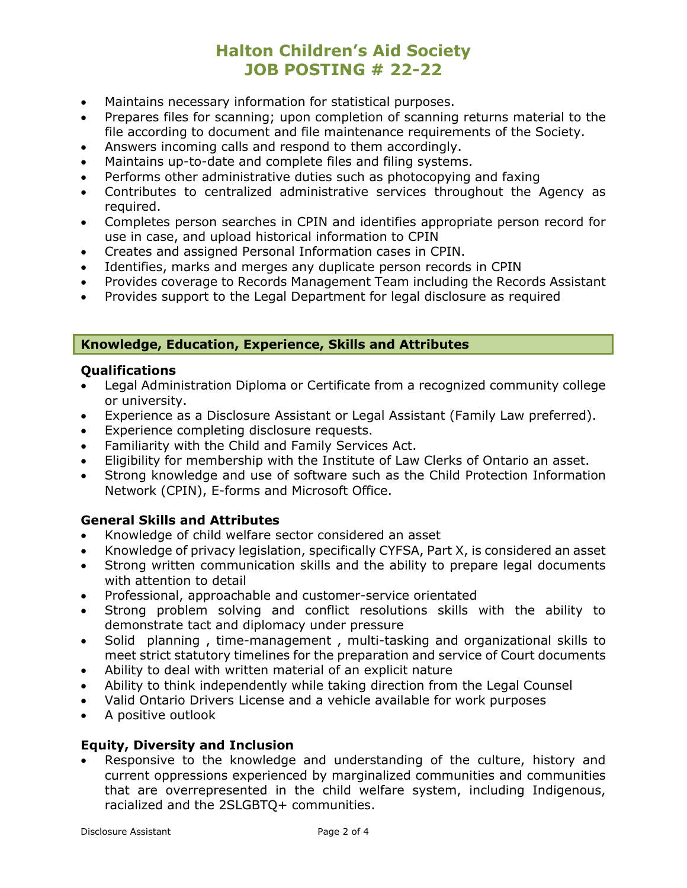- Maintains necessary information for statistical purposes.
- Prepares files for scanning; upon completion of scanning returns material to the file according to document and file maintenance requirements of the Society.
- Answers incoming calls and respond to them accordingly.
- Maintains up-to-date and complete files and filing systems.
- Performs other administrative duties such as photocopying and faxing
- Contributes to centralized administrative services throughout the Agency as required.
- Completes person searches in CPIN and identifies appropriate person record for use in case, and upload historical information to CPIN
- Creates and assigned Personal Information cases in CPIN.
- Identifies, marks and merges any duplicate person records in CPIN
- Provides coverage to Records Management Team including the Records Assistant
- Provides support to the Legal Department for legal disclosure as required

### **Knowledge, Education, Experience, Skills and Attributes**

### **Qualifications**

- Legal Administration Diploma or Certificate from a recognized community college or university.
- Experience as a Disclosure Assistant or Legal Assistant (Family Law preferred).
- Experience completing disclosure requests.
- Familiarity with the Child and Family Services Act.
- Eligibility for membership with the Institute of Law Clerks of Ontario an asset.
- Strong knowledge and use of software such as the Child Protection Information Network (CPIN), E-forms and Microsoft Office.

### **General Skills and Attributes**

- Knowledge of child welfare sector considered an asset
- Knowledge of privacy legislation, specifically CYFSA, Part X, is considered an asset
- Strong written communication skills and the ability to prepare legal documents with attention to detail
- Professional, approachable and customer-service orientated
- Strong problem solving and conflict resolutions skills with the ability to demonstrate tact and diplomacy under pressure
- Solid planning , time-management , multi-tasking and organizational skills to meet strict statutory timelines for the preparation and service of Court documents
- Ability to deal with written material of an explicit nature
- Ability to think independently while taking direction from the Legal Counsel
- Valid Ontario Drivers License and a vehicle available for work purposes
- A positive outlook

### **Equity, Diversity and Inclusion**

Responsive to the knowledge and understanding of the culture, history and current oppressions experienced by marginalized communities and communities that are overrepresented in the child welfare system, including Indigenous, racialized and the 2SLGBTQ+ communities.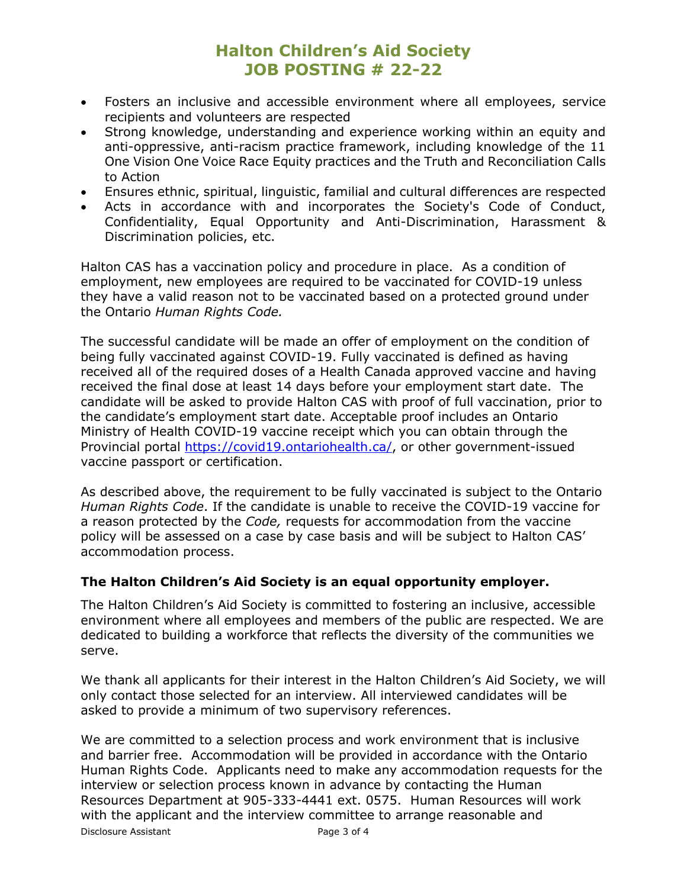- Fosters an inclusive and accessible environment where all employees, service recipients and volunteers are respected
- Strong knowledge, understanding and experience working within an equity and anti-oppressive, anti-racism practice framework, including knowledge of the 11 One Vision One Voice Race Equity practices and the Truth and Reconciliation Calls to Action
- Ensures ethnic, spiritual, linguistic, familial and cultural differences are respected
- Acts in accordance with and incorporates the Society's Code of Conduct, Confidentiality, Equal Opportunity and Anti-Discrimination, Harassment & Discrimination policies, etc.

Halton CAS has a vaccination policy and procedure in place. As a condition of employment, new employees are required to be vaccinated for COVID-19 unless they have a valid reason not to be vaccinated based on a protected ground under the Ontario *Human Rights Code.*

The successful candidate will be made an offer of employment on the condition of being fully vaccinated against COVID-19. Fully vaccinated is defined as having received all of the required doses of a Health Canada approved vaccine and having received the final dose at least 14 days before your employment start date. The candidate will be asked to provide Halton CAS with proof of full vaccination, prior to the candidate's employment start date. Acceptable proof includes an Ontario Ministry of Health COVID-19 vaccine receipt which you can obtain through the Provincial portal [https://covid19.ontariohealth.ca/,](https://covid19.ontariohealth.ca/) or other government-issued vaccine passport or certification.

As described above, the requirement to be fully vaccinated is subject to the Ontario *Human Rights Code*. If the candidate is unable to receive the COVID-19 vaccine for a reason protected by the *Code,* requests for accommodation from the vaccine policy will be assessed on a case by case basis and will be subject to Halton CAS' accommodation process.

### **The Halton Children's Aid Society is an equal opportunity employer.**

The Halton Children's Aid Society is committed to fostering an inclusive, accessible environment where all employees and members of the public are respected. We are dedicated to building a workforce that reflects the diversity of the communities we serve.

We thank all applicants for their interest in the Halton Children's Aid Society, we will only contact those selected for an interview. All interviewed candidates will be asked to provide a minimum of two supervisory references.

Disclosure Assistant **Page 3 of 4** We are committed to a selection process and work environment that is inclusive and barrier free. Accommodation will be provided in accordance with the Ontario Human Rights Code. Applicants need to make any accommodation requests for the interview or selection process known in advance by contacting the Human Resources Department at 905-333-4441 ext. 0575. Human Resources will work with the applicant and the interview committee to arrange reasonable and